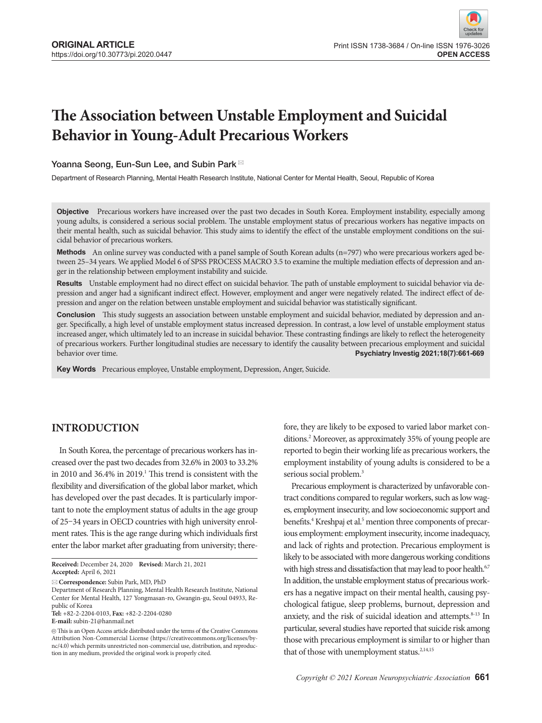# **The Association between Unstable Employment and Suicidal Behavior in Young-Adult Precarious Workers**

## Yoanna Seong, Eun-Sun Lee, and Subin Park<sup>⊠</sup>

Department of Research Planning, Mental Health Research Institute, National Center for Mental Health, Seoul, Republic of Korea

**Objective** Precarious workers have increased over the past two decades in South Korea. Employment instability, especially among young adults, is considered a serious social problem. The unstable employment status of precarious workers has negative impacts on their mental health, such as suicidal behavior. This study aims to identify the effect of the unstable employment conditions on the suicidal behavior of precarious workers.

**Methods** An online survey was conducted with a panel sample of South Korean adults (n=797) who were precarious workers aged between 25–34 years. We applied Model 6 of SPSS PROCESS MACRO 3.5 to examine the multiple mediation effects of depression and anger in the relationship between employment instability and suicide.

**Results** Unstable employment had no direct effect on suicidal behavior. The path of unstable employment to suicidal behavior via depression and anger had a significant indirect effect. However, employment and anger were negatively related. The indirect effect of depression and anger on the relation between unstable employment and suicidal behavior was statistically significant.

**Conclusion** This study suggests an association between unstable employment and suicidal behavior, mediated by depression and anger. Specifically, a high level of unstable employment status increased depression. In contrast, a low level of unstable employment status increased anger, which ultimately led to an increase in suicidal behavior. These contrasting findings are likely to reflect the heterogeneity of precarious workers. Further longitudinal studies are necessary to identify the causality between precarious employment and suicidal<br>Psychiatry Investig 2021;18(7):661-669 behavior over time. **Psychiatry Investig 2021;18(7):661-669**

**Key Words** Precarious employee, Unstable employment, Depression, Anger, Suicide.

# **INTRODUCTION**

In South Korea, the percentage of precarious workers has increased over the past two decades from 32.6% in 2003 to 33.2% in 2010 and 36.4% in 2019.<sup>1</sup> This trend is consistent with the flexibility and diversification of the global labor market, which has developed over the past decades. It is particularly important to note the employment status of adults in the age group of 25–34 years in OECD countries with high university enrolment rates. This is the age range during which individuals first enter the labor market after graduating from university; there-

**Correspondence:** Subin Park, MD, PhD

Department of Research Planning, Mental Health Research Institute, National Center for Mental Health, 127 Yongmasan-ro, Gwangin-gu, Seoul 04933, Republic of Korea **Tel:** +82-2-2204-0103, **Fax:** +82-2-2204-0280

**E-mail:** subin-21@hanmail.net

fore, they are likely to be exposed to varied labor market conditions.2 Moreover, as approximately 35% of young people are reported to begin their working life as precarious workers, the employment instability of young adults is considered to be a serious social problem.<sup>3</sup>

Precarious employment is characterized by unfavorable contract conditions compared to regular workers, such as low wages, employment insecurity, and low socioeconomic support and benefits.<sup>4</sup> Kreshpaj et al.<sup>5</sup> mention three components of precarious employment: employment insecurity, income inadequacy, and lack of rights and protection. Precarious employment is likely to be associated with more dangerous working conditions with high stress and dissatisfaction that may lead to poor health.<sup>6,7</sup> In addition, the unstable employment status of precarious workers has a negative impact on their mental health, causing psychological fatigue, sleep problems, burnout, depression and anxiety, and the risk of suicidal ideation and attempts. $8-13$  In particular, several studies have reported that suicide risk among those with precarious employment is similar to or higher than that of those with unemployment status.<sup>2,14,15</sup>

**Received:** December 24, 2020 **Revised:** March 21, 2021 **Accepted:** April 6, 2021

 $\circledR$  This is an Open Access article distributed under the terms of the Creative Commons Attribution Non-Commercial License (https://creativecommons.org/licenses/bync/4.0) which permits unrestricted non-commercial use, distribution, and reproduction in any medium, provided the original work is properly cited.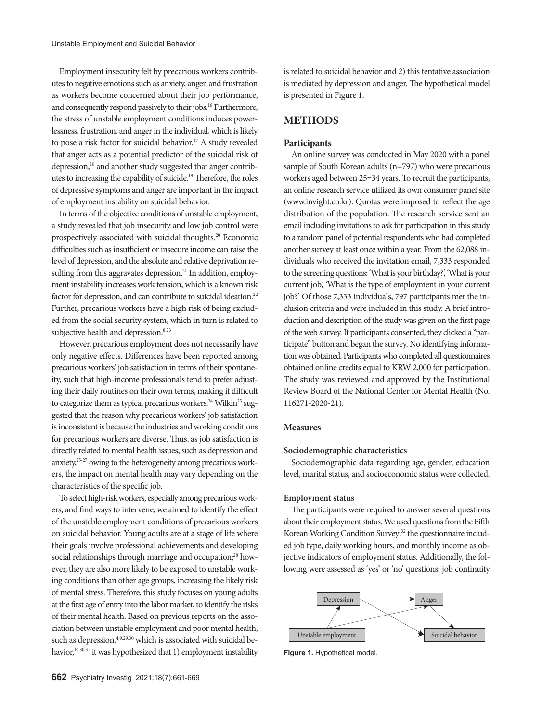Employment insecurity felt by precarious workers contributes to negative emotions such as anxiety, anger, and frustration as workers become concerned about their job performance, and consequently respond passively to their jobs.<sup>16</sup> Furthermore, the stress of unstable employment conditions induces powerlessness, frustration, and anger in the individual, which is likely to pose a risk factor for suicidal behavior.<sup>17</sup> A study revealed that anger acts as a potential predictor of the suicidal risk of depression,<sup>18</sup> and another study suggested that anger contributes to increasing the capability of suicide.19 Therefore, the roles of depressive symptoms and anger are important in the impact of employment instability on suicidal behavior.

In terms of the objective conditions of unstable employment, a study revealed that job insecurity and low job control were prospectively associated with suicidal thoughts.20 Economic difficulties such as insufficient or insecure income can raise the level of depression, and the absolute and relative deprivation resulting from this aggravates depression.<sup>21</sup> In addition, employment instability increases work tension, which is a known risk factor for depression, and can contribute to suicidal ideation.<sup>22</sup> Further, precarious workers have a high risk of being excluded from the social security system, which in turn is related to subjective health and depression.<sup>8,23</sup>

However, precarious employment does not necessarily have only negative effects. Differences have been reported among precarious workers' job satisfaction in terms of their spontaneity, such that high-income professionals tend to prefer adjusting their daily routines on their own terms, making it difficult to categorize them as typical precarious workers.<sup>24</sup> Wilkin<sup>25</sup> suggested that the reason why precarious workers' job satisfaction is inconsistent is because the industries and working conditions for precarious workers are diverse. Thus, as job satisfaction is directly related to mental health issues, such as depression and anxiety,25-27 owing to the heterogeneity among precarious workers, the impact on mental health may vary depending on the characteristics of the specific job.

To select high-risk workers, especially among precarious workers, and find ways to intervene, we aimed to identify the effect of the unstable employment conditions of precarious workers on suicidal behavior. Young adults are at a stage of life where their goals involve professional achievements and developing social relationships through marriage and occupation;<sup>28</sup> however, they are also more likely to be exposed to unstable working conditions than other age groups, increasing the likely risk of mental stress. Therefore, this study focuses on young adults at the first age of entry into the labor market, to identify the risks of their mental health. Based on previous reports on the association between unstable employment and poor mental health, such as depression,  $4,9,29,30$  which is associated with suicidal behavior,<sup>10,30,31</sup> it was hypothesized that 1) employment instability is related to suicidal behavior and 2) this tentative association is mediated by depression and anger. The hypothetical model is presented in Figure 1.

# **METHODS**

## **Participants**

An online survey was conducted in May 2020 with a panel sample of South Korean adults (n=797) who were precarious workers aged between 25–34 years. To recruit the participants, an online research service utilized its own consumer panel site (www.invight.co.kr). Quotas were imposed to reflect the age distribution of the population. The research service sent an email including invitations to ask for participation in this study to a random panel of potential respondents who had completed another survey at least once within a year. From the 62,088 individuals who received the invitation email, 7,333 responded to the screening questions: 'What is your birthday?,' 'What is your current job,' 'What is the type of employment in your current job?' Of those 7,333 individuals, 797 participants met the inclusion criteria and were included in this study. A brief introduction and description of the study was given on the first page of the web survey. If participants consented, they clicked a "participate" button and began the survey. No identifying information was obtained. Participants who completed all questionnaires obtained online credits equal to KRW 2,000 for participation. The study was reviewed and approved by the Institutional Review Board of the National Center for Mental Health (No. 116271-2020-21).

## **Measures**

## **Sociodemographic characteristics**

Sociodemographic data regarding age, gender, education level, marital status, and socioeconomic status were collected.

#### **Employment status**

The participants were required to answer several questions about their employment status. We used questions from the Fifth Korean Working Condition Survey;<sup>32</sup> the questionnaire included job type, daily working hours, and monthly income as objective indicators of employment status. Additionally, the following were assessed as 'yes' or 'no' questions: job continuity



**Figure 1.** Hypothetical model.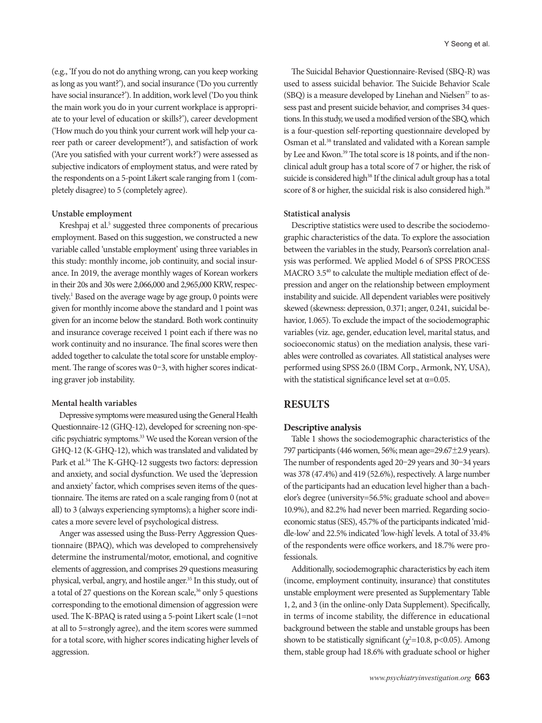(e.g., 'If you do not do anything wrong, can you keep working as long as you want?'), and social insurance ('Do you currently have social insurance?'). In addition, work level ('Do you think the main work you do in your current workplace is appropriate to your level of education or skills?'), career development ('How much do you think your current work will help your career path or career development?'), and satisfaction of work ('Are you satisfied with your current work?') were assessed as subjective indicators of employment status, and were rated by the respondents on a 5-point Likert scale ranging from 1 (completely disagree) to 5 (completely agree).

## **Unstable employment**

Kreshpaj et al.<sup>5</sup> suggested three components of precarious employment. Based on this suggestion, we constructed a new variable called 'unstable employment' using three variables in this study: monthly income, job continuity, and social insurance. In 2019, the average monthly wages of Korean workers in their 20s and 30s were 2,066,000 and 2,965,000 KRW, respectively.<sup>1</sup> Based on the average wage by age group, 0 points were given for monthly income above the standard and 1 point was given for an income below the standard. Both work continuity and insurance coverage received 1 point each if there was no work continuity and no insurance. The final scores were then added together to calculate the total score for unstable employment. The range of scores was 0–3, with higher scores indicating graver job instability.

#### **Mental health variables**

Depressive symptoms were measured using the General Health Questionnaire-12 (GHQ-12), developed for screening non-specific psychiatric symptoms.<sup>33</sup> We used the Korean version of the GHQ-12 (K-GHQ-12), which was translated and validated by Park et al.<sup>34</sup> The K-GHQ-12 suggests two factors: depression and anxiety, and social dysfunction. We used the 'depression and anxiety' factor, which comprises seven items of the questionnaire. The items are rated on a scale ranging from 0 (not at all) to 3 (always experiencing symptoms); a higher score indicates a more severe level of psychological distress.

Anger was assessed using the Buss-Perry Aggression Questionnaire (BPAQ), which was developed to comprehensively determine the instrumental/motor, emotional, and cognitive elements of aggression, and comprises 29 questions measuring physical, verbal, angry, and hostile anger.<sup>35</sup> In this study, out of a total of 27 questions on the Korean scale, $36$  only 5 questions corresponding to the emotional dimension of aggression were used. The K-BPAQ is rated using a 5-point Likert scale (1=not at all to 5=strongly agree), and the item scores were summed for a total score, with higher scores indicating higher levels of aggression.

The Suicidal Behavior Questionnaire-Revised (SBQ-R) was used to assess suicidal behavior. The Suicide Behavior Scale  $(SBO)$  is a measure developed by Linehan and Nielsen<sup>37</sup> to assess past and present suicide behavior, and comprises 34 questions. In this study, we used a modified version of the SBQ, which is a four-question self-reporting questionnaire developed by Osman et al.38 translated and validated with a Korean sample by Lee and Kwon.<sup>39</sup> The total score is 18 points, and if the nonclinical adult group has a total score of 7 or higher, the risk of suicide is considered high<sup>38</sup> If the clinical adult group has a total score of 8 or higher, the suicidal risk is also considered high.<sup>38</sup>

## **Statistical analysis**

Descriptive statistics were used to describe the sociodemographic characteristics of the data. To explore the association between the variables in the study, Pearson's correlation analysis was performed. We applied Model 6 of SPSS PROCESS MACRO 3.5<sup>40</sup> to calculate the multiple mediation effect of depression and anger on the relationship between employment instability and suicide. All dependent variables were positively skewed (skewness: depression, 0.371; anger, 0.241, suicidal behavior, 1.065). To exclude the impact of the sociodemographic variables (viz. age, gender, education level, marital status, and socioeconomic status) on the mediation analysis, these variables were controlled as covariates. All statistical analyses were performed using SPSS 26.0 (IBM Corp., Armonk, NY, USA), with the statistical significance level set at  $\alpha$ =0.05.

# **RESULTS**

## **Descriptive analysis**

Table 1 shows the sociodemographic characteristics of the 797 participants (446 women, 56%; mean age=29.67±2.9 years). The number of respondents aged 20–29 years and 30–34 years was 378 (47.4%) and 419 (52.6%), respectively. A large number of the participants had an education level higher than a bachelor's degree (university=56.5%; graduate school and above= 10.9%), and 82.2% had never been married. Regarding socioeconomic status (SES), 45.7% of the participants indicated 'middle-low' and 22.5% indicated 'low-high' levels. A total of 33.4% of the respondents were office workers, and 18.7% were professionals.

Additionally, sociodemographic characteristics by each item (income, employment continuity, insurance) that constitutes unstable employment were presented as Supplementary Table 1, 2, and 3 (in the online-only Data Supplement). Specifically, in terms of income stability, the difference in educational background between the stable and unstable groups has been shown to be statistically significant ( $\chi^2$ =10.8, p<0.05). Among them, stable group had 18.6% with graduate school or higher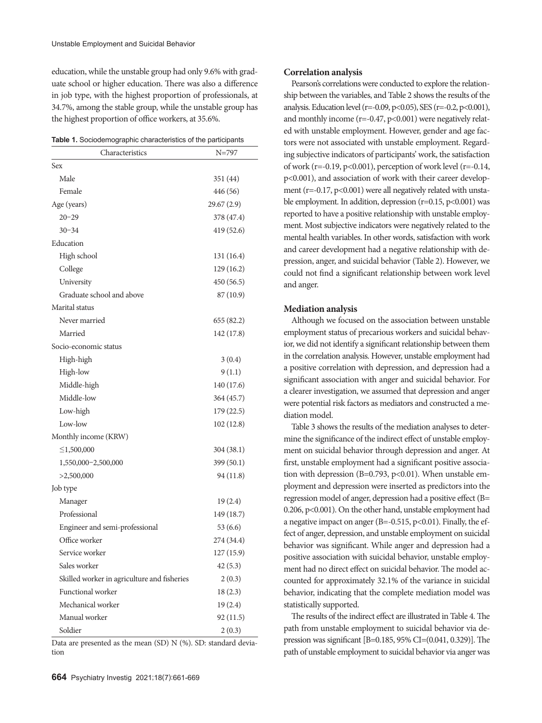education, while the unstable group had only 9.6% with graduate school or higher education. There was also a difference in job type, with the highest proportion of professionals, at 34.7%, among the stable group, while the unstable group has the highest proportion of office workers, at 35.6%.

| Table 1. Sociodemographic characteristics of the participants |  |  |  |
|---------------------------------------------------------------|--|--|--|
|---------------------------------------------------------------|--|--|--|

| Characteristics                             | $N = 797$   |
|---------------------------------------------|-------------|
| Sex                                         |             |
| Male                                        | 351 (44)    |
| Female                                      | 446 (56)    |
| Age (years)                                 | 29.67 (2.9) |
| $20 - 29$                                   | 378 (47.4)  |
| $30 - 34$                                   | 419 (52.6)  |
| Education                                   |             |
| High school                                 | 131 (16.4)  |
| College                                     | 129 (16.2)  |
| University                                  | 450 (56.5)  |
| Graduate school and above                   | 87 (10.9)   |
| Marital status                              |             |
| Never married                               | 655 (82.2)  |
| Married                                     | 142 (17.8)  |
| Socio-economic status                       |             |
| High-high                                   | 3(0.4)      |
| High-low                                    | 9(1.1)      |
| Middle-high                                 | 140 (17.6)  |
| Middle-low                                  | 364 (45.7)  |
| Low-high                                    | 179 (22.5)  |
| Low-low                                     | 102 (12.8)  |
| Monthly income (KRW)                        |             |
| $\leq$ 1,500,000                            | 304(38.1)   |
| 1,550,000-2,500,000                         | 399 (50.1)  |
| >2,500,000                                  | 94 (11.8)   |
| Job type                                    |             |
| Manager                                     | 19(2.4)     |
| Professional                                | 149 (18.7)  |
| Engineer and semi-professional              | 53(6.6)     |
| Office worker                               | 274 (34.4)  |
| Service worker                              | 127 (15.9)  |
| Sales worker                                | 42(5.3)     |
| Skilled worker in agriculture and fisheries | 2(0.3)      |
| Functional worker                           | 18(2.3)     |
| Mechanical worker                           | 19(2.4)     |
| Manual worker                               | 92 (11.5)   |
| Soldier                                     | 2(0.3)      |

Data are presented as the mean (SD) N (%). SD: standard deviation

#### **Correlation analysis**

Pearson's correlations were conducted to explore the relationship between the variables, and Table 2 shows the results of the analysis. Education level (r=-0.09, p<0.05), SES (r=-0.2, p<0.001), and monthly income  $(r=0.47, p<0.001)$  were negatively related with unstable employment. However, gender and age factors were not associated with unstable employment. Regarding subjective indicators of participants' work, the satisfaction of work ( $r=-0.19$ ,  $p<0.001$ ), perception of work level ( $r=-0.14$ , p<0.001), and association of work with their career development ( $r=-0.17$ ,  $p<0.001$ ) were all negatively related with unstable employment. In addition, depression  $(r=0.15, p<0.001)$  was reported to have a positive relationship with unstable employment. Most subjective indicators were negatively related to the mental health variables. In other words, satisfaction with work and career development had a negative relationship with depression, anger, and suicidal behavior (Table 2). However, we could not find a significant relationship between work level and anger.

#### **Mediation analysis**

Although we focused on the association between unstable employment status of precarious workers and suicidal behavior, we did not identify a significant relationship between them in the correlation analysis. However, unstable employment had a positive correlation with depression, and depression had a significant association with anger and suicidal behavior. For a clearer investigation, we assumed that depression and anger were potential risk factors as mediators and constructed a mediation model.

Table 3 shows the results of the mediation analyses to determine the significance of the indirect effect of unstable employment on suicidal behavior through depression and anger. At first, unstable employment had a significant positive association with depression (B=0.793, p<0.01). When unstable employment and depression were inserted as predictors into the regression model of anger, depression had a positive effect (B= 0.206, p<0.001). On the other hand, unstable employment had a negative impact on anger (B=-0.515, p<0.01). Finally, the effect of anger, depression, and unstable employment on suicidal behavior was significant. While anger and depression had a positive association with suicidal behavior, unstable employment had no direct effect on suicidal behavior. The model accounted for approximately 32.1% of the variance in suicidal behavior, indicating that the complete mediation model was statistically supported.

The results of the indirect effect are illustrated in Table 4. The path from unstable employment to suicidal behavior via depression was significant [B=0.185, 95% CI=(0.041, 0.329)]. The path of unstable employment to suicidal behavior via anger was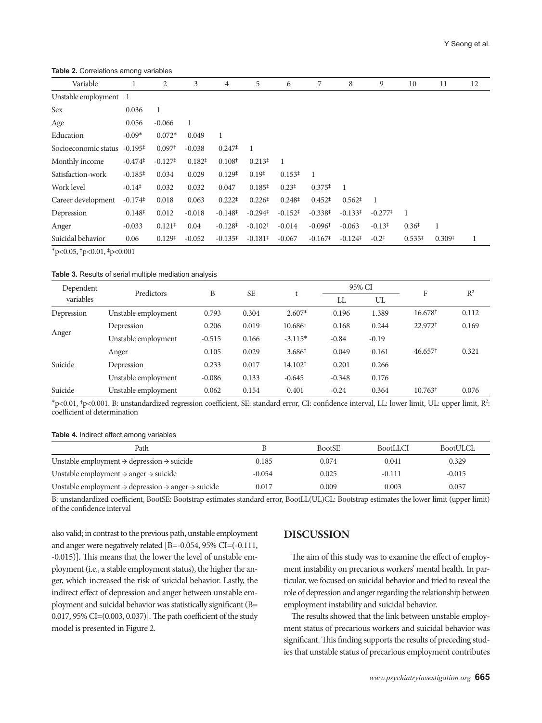**Table 2.** Correlations among variables

| Variable              |                       | 2                     | 3        | 4                     | 5                                         | 6                  | 7                     | 8                     | 9                   | 10                 | 11                 | 12 |
|-----------------------|-----------------------|-----------------------|----------|-----------------------|-------------------------------------------|--------------------|-----------------------|-----------------------|---------------------|--------------------|--------------------|----|
| Unstable employment 1 |                       |                       |          |                       |                                           |                    |                       |                       |                     |                    |                    |    |
| Sex                   | 0.036                 | 1                     |          |                       |                                           |                    |                       |                       |                     |                    |                    |    |
| Age                   | 0.056                 | $-0.066$              | 1        |                       |                                           |                    |                       |                       |                     |                    |                    |    |
| Education             | $-0.09*$              | $0.072*$              | 0.049    | 1                     |                                           |                    |                       |                       |                     |                    |                    |    |
| Socioeconomic status  | $-0.195^{\ddagger}$   | 0.097 <sup>†</sup>    | $-0.038$ | $0.247^{\ddagger}$    | - 1                                       |                    |                       |                       |                     |                    |                    |    |
| Monthly income        | $-0.474$ <sup>‡</sup> | $-0.127$ <sup>‡</sup> | $0.182*$ | 0.108 <sup>†</sup>    | $0.213*$                                  | 1                  |                       |                       |                     |                    |                    |    |
| Satisfaction-work     | $-0.185+$             | 0.034                 | 0.029    | 0.129 <sup>‡</sup>    | 0.19 <sup>‡</sup>                         | 0.153 <sup>‡</sup> | -1                    |                       |                     |                    |                    |    |
| Work level            | $-0.14^{\ddagger}$    | 0.032                 | 0.032    | 0.047                 | $0.185^{\ddagger}$                        | $0.23^{\ddagger}$  | $0.375^{\ddagger}$    | -1                    |                     |                    |                    |    |
| Career development    | $-0.174$ <sup>‡</sup> | 0.018                 | 0.063    | $0.222$ <sup>‡</sup>  | 0.226 <sup>‡</sup>                        | $0.248^{\ddagger}$ | $0.452^{\ddagger}$    | $0.562^{\ddagger}$    | $\overline{1}$      |                    |                    |    |
| Depression            | 0.148 <sup>‡</sup>    | 0.012                 | $-0.018$ | $-0.148^{\ddagger}$   | $-0.294$ <sup><math>\ddagger</math></sup> | $-0.152^+$         | $-0.338^{+}$          | $-0.133^{\ddagger}$   | $-0.277^{\ddagger}$ | 1                  |                    |    |
| Anger                 | $-0.033$              | $0.121$ <sup>‡</sup>  | 0.04     | $-0.128$ <sup>‡</sup> | $-0.102$ <sup>+</sup>                     | $-0.014$           | $-0.096$ <sup>+</sup> | $-0.063$              | $-0.13^{\ddagger}$  | 0.36 <sup>‡</sup>  | 1                  |    |
| Suicidal behavior     | 0.06                  | 0.129 <sup>‡</sup>    | $-0.052$ | $-0.135^{+}$          | $-0.181^{\ddagger}$                       | $-0.067$           | $-0.167^{\ddagger}$   | $-0.124$ <sup>‡</sup> | $-0.2^{\ddagger}$   | $0.535^{\ddagger}$ | 0.309 <sup>‡</sup> | 1  |
|                       |                       |                       |          |                       |                                           |                    |                       |                       |                     |                    |                    |    |

\*p<0.05, †p<0.01, ‡p<0.001

#### **Table 3.** Results of serial multiple mediation analysis

| Dependent  | Predictors          | B        | <b>SE</b> |                     |          | 95% CI  | F                     | $R^2$ |
|------------|---------------------|----------|-----------|---------------------|----------|---------|-----------------------|-------|
| variables  |                     |          |           |                     | LL       | UL      |                       |       |
| Depression | Unstable employment | 0.793    | 0.304     | $2.607*$            | 0.196    | 1.389   | $16.678^{\dagger}$    | 0.112 |
|            | Depression          | 0.206    | 0.019     | 10.686 <sup>+</sup> | 0.168    | 0.244   | 22.972 <sup>+</sup>   | 0.169 |
| Anger      | Unstable employment | $-0.515$ | 0.166     | $-3.115*$           | $-0.84$  | $-0.19$ |                       |       |
|            | Anger               | 0.105    | 0.029     | $3.686^{\dagger}$   | 0.049    | 0.161   | $46.657$ <sup>†</sup> | 0.321 |
| Suicide    | Depression          | 0.233    | 0.017     | 14.102 <sup>†</sup> | 0.201    | 0.266   |                       |       |
|            | Unstable employment | $-0.086$ | 0.133     | $-0.645$            | $-0.348$ | 0.176   |                       |       |
| Suicide    | Unstable employment | 0.062    | 0.154     | 0.401               | $-0.24$  | 0.364   | $10.763^{\dagger}$    | 0.076 |

\*p<0.01, †p<0.001. B: unstandardized regression coefficient, SE: standard error, CI: confidence interval, LL: lower limit, UL: upper limit, R2 : coefficient of determination

#### **Table 4.** Indirect effect among variables

| Path                                                                                   |          | <b>BootSE</b> | <b>BootLLCI</b> | BootULCL |
|----------------------------------------------------------------------------------------|----------|---------------|-----------------|----------|
| Unstable employment $\rightarrow$ depression $\rightarrow$ suicide                     | 0.185    | 0.074         | 0.041           | 0.329    |
| Unstable employment $\rightarrow$ anger $\rightarrow$ suicide                          | $-0.054$ | 0.025         | $-0.111$        | $-0.015$ |
| Unstable employment $\rightarrow$ depression $\rightarrow$ anger $\rightarrow$ suicide | 0.017    | 0.009         | 0.003           | 0.037    |

B: unstandardized coefficient, BootSE: Bootstrap estimates standard error, BootLL(UL)CL: Bootstrap estimates the lower limit (upper limit) of the confidence interval

also valid; in contrast to the previous path, unstable employment and anger were negatively related [B=-0.054, 95% CI=(-0.111, -0.015)]. This means that the lower the level of unstable employment (i.e., a stable employment status), the higher the anger, which increased the risk of suicidal behavior. Lastly, the indirect effect of depression and anger between unstable employment and suicidal behavior was statistically significant (B= 0.017, 95% CI=(0.003, 0.037)]. The path coefficient of the study model is presented in Figure 2.

## **DISCUSSION**

The aim of this study was to examine the effect of employment instability on precarious workers' mental health. In particular, we focused on suicidal behavior and tried to reveal the role of depression and anger regarding the relationship between employment instability and suicidal behavior.

The results showed that the link between unstable employment status of precarious workers and suicidal behavior was significant. This finding supports the results of preceding studies that unstable status of precarious employment contributes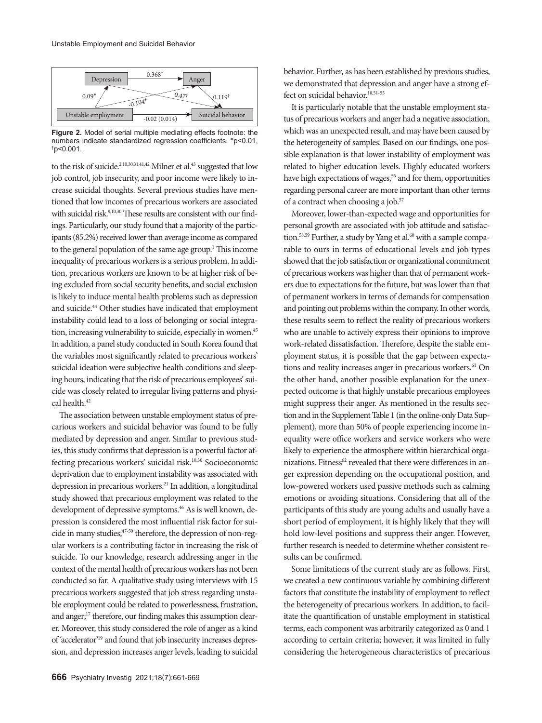

**Figure 2.** Model of serial multiple mediating effects footnote: the numbers indicate standardized regression coefficients. \*p<0.01, †p<0.001.

to the risk of suicide.<sup>2,10,30,31,41,42</sup> Milner et al.<sup>43</sup> suggested that low job control, job insecurity, and poor income were likely to increase suicidal thoughts. Several previous studies have mentioned that low incomes of precarious workers are associated with suicidal risk.<sup>9,10,30</sup> These results are consistent with our findings. Particularly, our study found that a majority of the participants (85.2%) received lower than average income as compared to the general population of the same age group.<sup>1</sup> This income inequality of precarious workers is a serious problem. In addition, precarious workers are known to be at higher risk of being excluded from social security benefits, and social exclusion is likely to induce mental health problems such as depression and suicide.<sup>44</sup> Other studies have indicated that employment instability could lead to a loss of belonging or social integration, increasing vulnerability to suicide, especially in women.<sup>45</sup> In addition, a panel study conducted in South Korea found that the variables most significantly related to precarious workers' suicidal ideation were subjective health conditions and sleeping hours, indicating that the risk of precarious employees' suicide was closely related to irregular living patterns and physical health.42

The association between unstable employment status of precarious workers and suicidal behavior was found to be fully mediated by depression and anger. Similar to previous studies, this study confirms that depression is a powerful factor affecting precarious workers' suicidal risk.<sup>10,30</sup> Socioeconomic deprivation due to employment instability was associated with depression in precarious workers.21 In addition, a longitudinal study showed that precarious employment was related to the development of depressive symptoms.<sup>46</sup> As is well known, depression is considered the most influential risk factor for suicide in many studies;<sup>47-50</sup> therefore, the depression of non-regular workers is a contributing factor in increasing the risk of suicide. To our knowledge, research addressing anger in the context of the mental health of precarious workers has not been conducted so far. A qualitative study using interviews with 15 precarious workers suggested that job stress regarding unstable employment could be related to powerlessness, frustration, and anger;<sup>17</sup> therefore, our finding makes this assumption clearer. Moreover, this study considered the role of anger as a kind of 'accelerator'19 and found that job insecurity increases depression, and depression increases anger levels, leading to suicidal

behavior. Further, as has been established by previous studies, we demonstrated that depression and anger have a strong effect on suicidal behavior.<sup>18,51-55</sup>

It is particularly notable that the unstable employment status of precarious workers and anger had a negative association, which was an unexpected result, and may have been caused by the heterogeneity of samples. Based on our findings, one possible explanation is that lower instability of employment was related to higher education levels. Highly educated workers have high expectations of wages,<sup>56</sup> and for them, opportunities regarding personal career are more important than other terms of a contract when choosing a job.<sup>57</sup>

Moreover, lower-than-expected wage and opportunities for personal growth are associated with job attitude and satisfaction.<sup>58,59</sup> Further, a study by Yang et al.<sup>60</sup> with a sample comparable to ours in terms of educational levels and job types showed that the job satisfaction or organizational commitment of precarious workers was higher than that of permanent workers due to expectations for the future, but was lower than that of permanent workers in terms of demands for compensation and pointing out problems within the company. In other words, these results seem to reflect the reality of precarious workers who are unable to actively express their opinions to improve work-related dissatisfaction. Therefore, despite the stable employment status, it is possible that the gap between expectations and reality increases anger in precarious workers.<sup>61</sup> On the other hand, another possible explanation for the unexpected outcome is that highly unstable precarious employees might suppress their anger. As mentioned in the results section and in the Supplement Table 1 (in the online-only Data Supplement), more than 50% of people experiencing income inequality were office workers and service workers who were likely to experience the atmosphere within hierarchical organizations. Fitness<sup>62</sup> revealed that there were differences in anger expression depending on the occupational position, and low-powered workers used passive methods such as calming emotions or avoiding situations. Considering that all of the participants of this study are young adults and usually have a short period of employment, it is highly likely that they will hold low-level positions and suppress their anger. However, further research is needed to determine whether consistent results can be confirmed.

Some limitations of the current study are as follows. First, we created a new continuous variable by combining different factors that constitute the instability of employment to reflect the heterogeneity of precarious workers. In addition, to facilitate the quantification of unstable employment in statistical terms, each component was arbitrarily categorized as 0 and 1 according to certain criteria; however, it was limited in fully considering the heterogeneous characteristics of precarious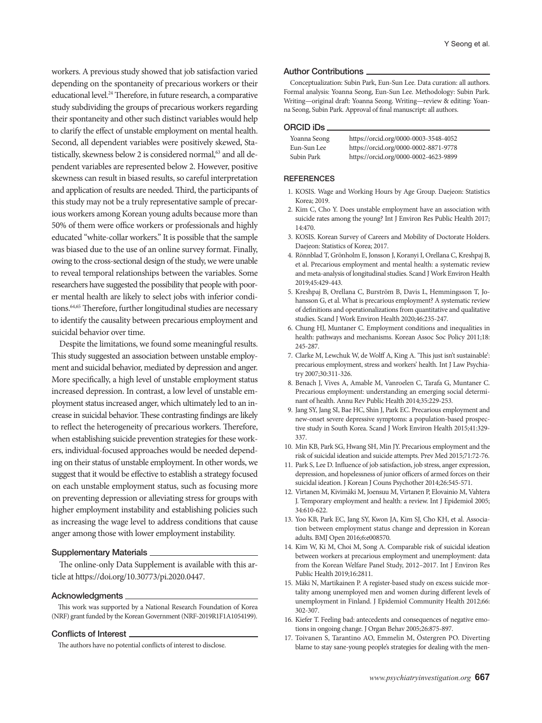workers. A previous study showed that job satisfaction varied depending on the spontaneity of precarious workers or their educational level.24 Therefore, in future research, a comparative study subdividing the groups of precarious workers regarding their spontaneity and other such distinct variables would help to clarify the effect of unstable employment on mental health. Second, all dependent variables were positively skewed, Statistically, skewness below 2 is considered normal,<sup>63</sup> and all dependent variables are represented below 2. However, positive skewness can result in biased results, so careful interpretation and application of results are needed. Third, the participants of this study may not be a truly representative sample of precarious workers among Korean young adults because more than 50% of them were office workers or professionals and highly educated "white-collar workers." It is possible that the sample was biased due to the use of an online survey format. Finally, owing to the cross-sectional design of the study, we were unable to reveal temporal relationships between the variables. Some researchers have suggested the possibility that people with poorer mental health are likely to select jobs with inferior conditions.<sup>64,65</sup> Therefore, further longitudinal studies are necessary to identify the causality between precarious employment and suicidal behavior over time.

Despite the limitations, we found some meaningful results. This study suggested an association between unstable employment and suicidal behavior, mediated by depression and anger. More specifically, a high level of unstable employment status increased depression. In contrast, a low level of unstable employment status increased anger, which ultimately led to an increase in suicidal behavior. These contrasting findings are likely to reflect the heterogeneity of precarious workers. Therefore, when establishing suicide prevention strategies for these workers, individual-focused approaches would be needed depending on their status of unstable employment. In other words, we suggest that it would be effective to establish a strategy focused on each unstable employment status, such as focusing more on preventing depression or alleviating stress for groups with higher employment instability and establishing policies such as increasing the wage level to address conditions that cause anger among those with lower employment instability.

#### **Supplementary Materials**.

The online-only Data Supplement is available with this article at https://doi.org/10.30773/pi.2020.0447.

#### Acknowledgments

This work was supported by a National Research Foundation of Korea (NRF) grant funded by the Korean Government (NRF-2019R1F1A1054199).

#### Conflicts of Interest

The authors have no potential conflicts of interest to disclose.

#### Author Contributions

Conceptualization: Subin Park, Eun-Sun Lee. Data curation: all authors. Formal analysis: Yoanna Seong, Eun-Sun Lee. Methodology: Subin Park. Writing—original draft: Yoanna Seong. Writing—review & editing: Yoanna Seong, Subin Park. Approval of final manuscript: all authors.

#### ORCID iDs

| Yoanna Seong | https://orcid.org/0000-0003-3548-4052 |
|--------------|---------------------------------------|
| Eun-Sun Lee  | https://orcid.org/0000-0002-8871-9778 |
| Subin Park   | https://orcid.org/0000-0002-4623-9899 |

#### **REFERENCES**

- 1. KOSIS. Wage and Working Hours by Age Group. Daejeon: Statistics Korea; 2019.
- 2. Kim C, Cho Y. Does unstable employment have an association with suicide rates among the young? Int J Environ Res Public Health 2017; 14:470.
- 3. KOSIS. Korean Survey of Careers and Mobility of Doctorate Holders. Daejeon: Statistics of Korea; 2017.
- 4. Rönnblad T, Grönholm E, Jonsson J, Koranyi I, Orellana C, Kreshpaj B, et al. Precarious employment and mental health: a systematic review and meta-analysis of longitudinal studies. Scand J Work Environ Health 2019;45:429-443.
- 5. Kreshpaj B, Orellana C, Burström B, Davis L, Hemmingsson T, Johansson G, et al. What is precarious employment? A systematic review of definitions and operationalizations from quantitative and qualitative studies. Scand J Work Environ Health 2020;46:235-247.
- 6. Chung HJ, Muntaner C. Employment conditions and inequalities in health: pathways and mechanisms. Korean Assoc Soc Policy 2011;18: 245-287.
- 7. Clarke M, Lewchuk W, de Wolff A, King A. 'This just isn't sustainable': precarious employment, stress and workers' health. Int J Law Psychiatry 2007;30:311-326.
- 8. Benach J, Vives A, Amable M, Vanroelen C, Tarafa G, Muntaner C. Precarious employment: understanding an emerging social determinant of health. Annu Rev Public Health 2014;35:229-253.
- 9. Jang SY, Jang SI, Bae HC, Shin J, Park EC. Precarious employment and new-onset severe depressive symptoms: a population-based prospective study in South Korea. Scand J Work Environ Health 2015;41:329- 337.
- 10. Min KB, Park SG, Hwang SH, Min JY. Precarious employment and the risk of suicidal ideation and suicide attempts. Prev Med 2015;71:72-76.
- 11. Park S, Lee D. Influence of job satisfaction, job stress, anger expression, depression, and hopelessness of junior officers of armed forces on their suicidal ideation. J Korean J Couns Psychother 2014;26:545-571.
- 12. Virtanen M, Kivimäki M, Joensuu M, Virtanen P, Elovainio M, Vahtera J. Temporary employment and health: a review. Int J Epidemiol 2005; 34:610-622.
- 13. Yoo KB, Park EC, Jang SY, Kwon JA, Kim SJ, Cho KH, et al. Association between employment status change and depression in Korean adults. BMJ Open 2016;6:e008570.
- 14. Kim W, Ki M, Choi M, Song A. Comparable risk of suicidal ideation between workers at precarious employment and unemployment: data from the Korean Welfare Panel Study, 2012–2017. Int J Environ Res Public Health 2019;16:2811.
- 15. Mäki N, Martikainen P. A register-based study on excess suicide mortality among unemployed men and women during different levels of unemployment in Finland. J Epidemiol Community Health 2012;66: 302-307.
- 16. Kiefer T. Feeling bad: antecedents and consequences of negative emotions in ongoing change. J Organ Behav 2005;26:875-897.
- 17. Toivanen S, Tarantino AO, Emmelin M, Östergren PO. Diverting blame to stay sane-young people's strategies for dealing with the men-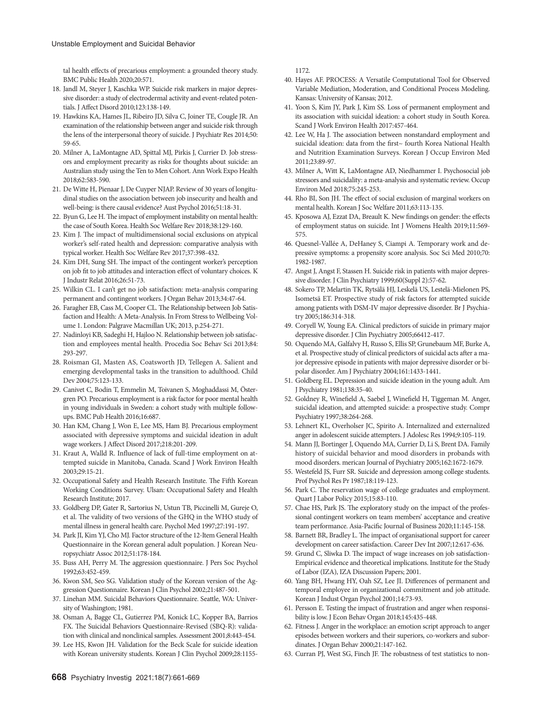#### Unstable Employment and Suicidal Behavior

tal health effects of precarious employment: a grounded theory study. BMC Public Health 2020;20:571.

- 18. Jandl M, Steyer J, Kaschka WP. Suicide risk markers in major depressive disorder: a study of electrodermal activity and event-related potentials. J Affect Disord 2010;123:138-149.
- 19. Hawkins KA, Hames JL, Ribeiro JD, Silva C, Joiner TE, Cougle JR. An examination of the relationship between anger and suicide risk through the lens of the interpersonal theory of suicide. J Psychiatr Res 2014;50: 59-65.
- 20. Milner A, LaMontagne AD, Spittal MJ, Pirkis J, Currier D. Job stressors and employment precarity as risks for thoughts about suicide: an Australian study using the Ten to Men Cohort. Ann Work Expo Health 2018;62:583-590.
- 21. De Witte H, Pienaar J, De Cuyper NJAP. Review of 30 years of longitudinal studies on the association between job insecurity and health and well‐being: is there causal evidence? Aust Psychol 2016;51:18-31.
- 22. Byun G, Lee H. The impact of employment instability on mental health: the case of South Korea. Health Soc Welfare Rev 2018;38:129-160.
- 23. Kim J. The impact of multidimensional social exclusions on atypical worker's self-rated health and depression: comparative analysis with typical worker. Health Soc Welfare Rev 2017;37:398-432.
- 24. Kim DH, Sung SH. The impact of the contingent worker's perception on job fit to job attitudes and interaction effect of voluntary choices. K J Industr Relat 2016;26:51-73.
- 25. Wilkin CL. I can't get no job satisfaction: meta‐analysis comparing permanent and contingent workers. J Organ Behav 2013;34:47-64.
- 26. Faragher EB, Cass M, Cooper CL. The Relationship between Job Satisfaction and Health: A Meta-Analysis. In From Stress to Wellbeing Volume 1. London: Palgrave Macmillan UK; 2013, p.254-271.
- 27. Nadinloyi KB, Sadeghi H, Hajloo N. Relationship between job satisfaction and employees mental health. Procedia Soc Behav Sci 2013;84: 293-297.
- 28. Roisman GI, Masten AS, Coatsworth JD, Tellegen A. Salient and emerging developmental tasks in the transition to adulthood. Child Dev 2004;75:123-133.
- 29. Canivet C, Bodin T, Emmelin M, Toivanen S, Moghaddassi M, Östergren PO. Precarious employment is a risk factor for poor mental health in young individuals in Sweden: a cohort study with multiple followups. BMC Pub Health 2016;16:687.
- 30. Han KM, Chang J, Won E, Lee MS, Ham BJ. Precarious employment associated with depressive symptoms and suicidal ideation in adult wage workers. J Affect Disord 2017;218:201-209.
- 31. Kraut A, Walld R. Influence of lack of full-time employment on attempted suicide in Manitoba, Canada. Scand J Work Environ Health 2003;29:15-21.
- 32. Occupational Safety and Health Research Institute. The Fifth Korean Working Conditions Survey. Ulsan: Occupational Safety and Health Research Institute; 2017.
- 33. Goldberg DP, Gater R, Sartorius N, Ustun TB, Piccinelli M, Gureje O, et al. The validity of two versions of the GHQ in the WHO study of mental illness in general health care. Psychol Med 1997;27:191-197.
- 34. Park JI, Kim YJ, Cho MJ. Factor structure of the 12-Item General Health Questionnaire in the Korean general adult population. J Korean Neuropsychiatr Assoc 2012;51:178-184.
- 35. Buss AH, Perry M. The aggression questionnaire. J Pers Soc Psychol 1992;63:452-459.
- 36. Kwon SM, Seo SG. Validation study of the Korean version of the Aggression Questionnaire. Korean J Clin Psychol 2002;21:487-501.
- 37. Linehan MM. Suicidal Behaviors Questionnaire. Seattle, WA: University of Washington; 1981.
- 38. Osman A, Bagge CL, Gutierrez PM, Konick LC, Kopper BA, Barrios FX. The Suicidal Behaviors Questionnaire-Revised (SBQ-R): validation with clinical and nonclinical samples. Assessment 2001;8:443-454.
- 39. Lee HS, Kwon JH. Validation for the Beck Scale for suicide ideation with Korean university students. Korean J Clin Psychol 2009;28:1155-

1172.

- 40. Hayes AF. PROCESS: A Versatile Computational Tool for Observed Variable Mediation, Moderation, and Conditional Process Modeling. Kansas: University of Kansas; 2012.
- 41. Yoon S, Kim JY, Park J, Kim SS. Loss of permanent employment and its association with suicidal ideation: a cohort study in South Korea. Scand J Work Environ Health 2017:457-464.
- 42. Lee W, Ha J. The association between nonstandard employment and suicidal ideation: data from the first~ fourth Korea National Health and Nutrition Examination Surveys. Korean J Occup Environ Med 2011;23:89-97.
- 43. Milner A, Witt K, LaMontagne AD, Niedhammer I. Psychosocial job stressors and suicidality: a meta-analysis and systematic review. Occup Environ Med 2018;75:245-253.
- 44. Rho BI, Son JH. The effect of social exclusion of marginal workers on mental health. Korean J Soc Welfare 2011;63:113-135.
- 45. Kposowa AJ, Ezzat DA, Breault K. New findings on gender: the effects of employment status on suicide. Int J Womens Health 2019;11:569- 575.
- 46. Quesnel-Vallée A, DeHaney S, Ciampi A. Temporary work and depressive symptoms: a propensity score analysis. Soc Sci Med 2010;70: 1982-1987.
- 47. Angst J, Angst F, Stassen H. Suicide risk in patients with major depressive disorder. J Clin Psychiatry 1999;60(Suppl 2):57-62.
- 48. Sokero TP, Melartin TK, Rytsälä HJ, Leskelä US, Lestelä-Mielonen PS, Isometsä ET. Prospective study of risk factors for attempted suicide among patients with DSM-IV major depressive disorder. Br J Psychiatry 2005;186:314-318.
- 49. Coryell W, Young EA. Clinical predictors of suicide in primary major depressive disorder. J Clin Psychiatry 2005;66412-417.
- 50. Oquendo MA, Galfalvy H, Russo S, Ellis SP, Grunebaum MF, Burke A, et al. Prospective study of clinical predictors of suicidal acts after a major depressive episode in patients with major depressive disorder or bipolar disorder. Am J Psychiatry 2004;161:1433-1441.
- 51. Goldberg EL. Depression and suicide ideation in the young adult. Am J Psychiatry 1981;138:35-40.
- 52. Goldney R, Winefield A, Saebel J, Winefield H, Tiggeman M. Anger, suicidal ideation, and attempted suicide: a prospective study. Compr Psychiatry 1997;38:264-268.
- 53. Lehnert KL, Overholser JC, Spirito A. Internalized and externalized anger in adolescent suicide attempters. J Adolesc Res 1994;9:105-119.
- 54. Mann JJ, Bortinger J, Oquendo MA, Currier D, Li S, Brent DA. Family history of suicidal behavior and mood disorders in probands with mood disorders. merican Journal of Psychiatry 2005;162:1672-1679.
- 55. Westefeld JS, Furr SR. Suicide and depression among college students. Prof Psychol Res Pr 1987;18:119-123.
- 56. Park C. The reservation wage of college graduates and employment. Quart J Labor Policy 2015;15:83-110.
- 57. Chae HS, Park JS. The exploratory study on the impact of the professional contingent workers on team members' acceptance and creative team performance. Asia-Pacific Journal of Business 2020;11:145-158.
- 58. Barnett BR, Bradley L. The impact of organisational support for career development on career satisfaction. Career Dev Int 2007;12:617-636.
- 59. Grund C, Sliwka D. The impact of wage increases on job satisfaction-Empirical evidence and theoretical implications. Institute for the Study of Labor (IZA), IZA Discussion Papers; 2001.
- 60. Yang BH, Hwang HY, Oah SZ, Lee JI. Differences of permanent and temporal employee in organizational commitment and job attitude. Korean J Indust Organ Psychol 2001;14:73-93.
- 61. Persson E. Testing the impact of frustration and anger when responsibility is low. J Econ Behav Organ 2018;145:435-448.
- 62. Fitness J. Anger in the workplace: an emotion script approach to anger episodes between workers and their superiors, co-workers and subordinates. J Organ Behav 2000;21:147-162.
- 63. Curran PJ, West SG, Finch JF. The robustness of test statistics to non-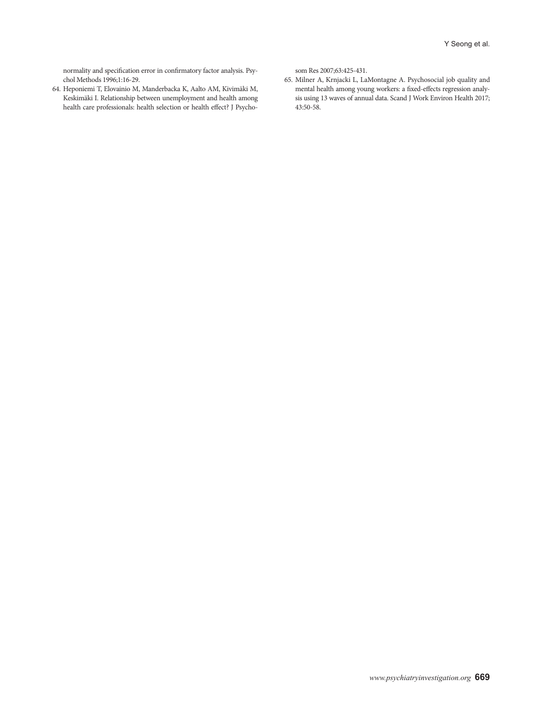normality and specification error in confirmatory factor analysis. Psychol Methods 1996;1:16-29.

64. Heponiemi T, Elovainio M, Manderbacka K, Aalto AM, Kivimäki M, Keskimäki I. Relationship between unemployment and health among health care professionals: health selection or health effect? J Psychosom Res 2007;63:425-431.

65. Milner A, Krnjacki L, LaMontagne A. Psychosocial job quality and mental health among young workers: a fixed-effects regression analysis using 13 waves of annual data. Scand J Work Environ Health 2017; 43:50-58.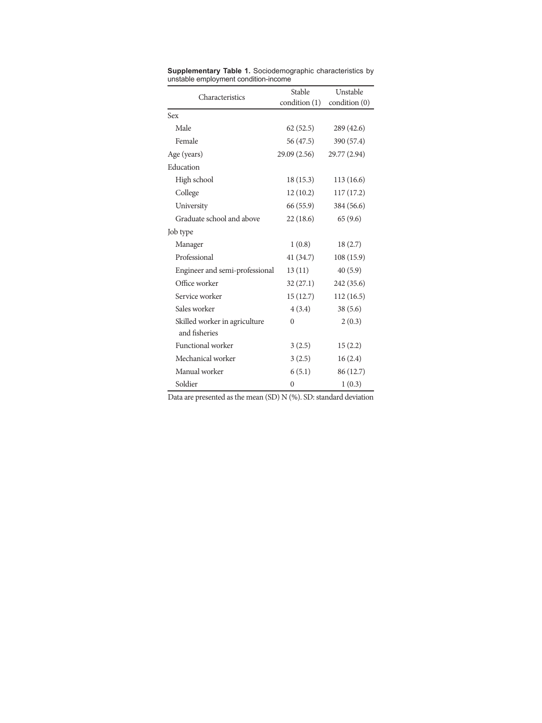| Characteristics                                | Stable        | Unstable      |
|------------------------------------------------|---------------|---------------|
|                                                | condition (1) | condition (0) |
| Sex                                            |               |               |
| Male                                           | 62(52.5)      | 289 (42.6)    |
| Female                                         | 56 (47.5)     | 390 (57.4)    |
| Age (years)                                    | 29.09 (2.56)  | 29.77 (2.94)  |
| Education                                      |               |               |
| High school                                    | 18(15.3)      | 113(16.6)     |
| College                                        | 12(10.2)      | 117(17.2)     |
| University                                     | 66 (55.9)     | 384 (56.6)    |
| Graduate school and above                      | 22(18.6)      | 65(9.6)       |
| Job type                                       |               |               |
| Manager                                        | 1(0.8)        | 18(2.7)       |
| Professional                                   | 41(34.7)      | 108(15.9)     |
| Engineer and semi-professional                 | 13(11)        | 40(5.9)       |
| Office worker                                  | 32(27.1)      | 242 (35.6)    |
| Service worker                                 | 15(12.7)      | 112(16.5)     |
| Sales worker                                   | 4(3.4)        | 38(5.6)       |
| Skilled worker in agriculture<br>and fisheries | 0             | 2(0.3)        |
| Functional worker                              | 3(2.5)        | 15(2.2)       |
| Mechanical worker                              | 3(2.5)        | 16(2.4)       |
| Manual worker                                  | 6(5.1)        | 86 (12.7)     |
| Soldier                                        | $\mathbf{0}$  | 1(0.3)        |

**Supplementary Table 1.** Sociodemographic characteristics by unstable employment condition-income

Data are presented as the mean (SD) N (%). SD: standard deviation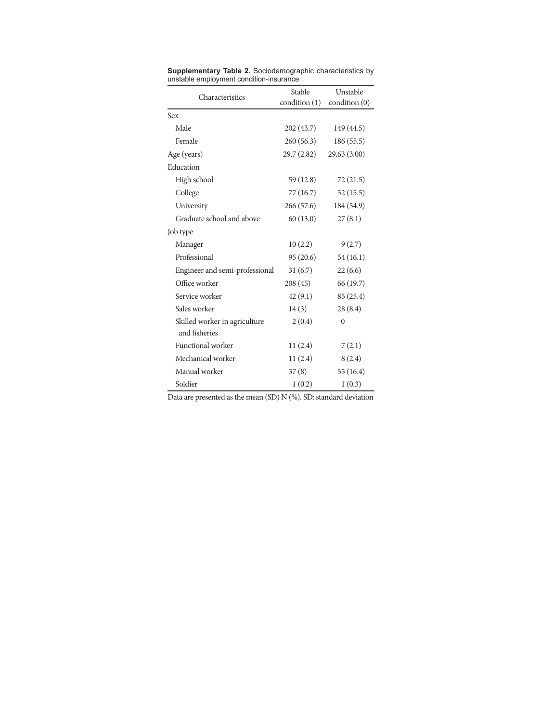| Characteristics                                | Stable       | Unstable      |
|------------------------------------------------|--------------|---------------|
|                                                | condition(1) | condition (0) |
| Sex                                            |              |               |
| Male                                           | 202(43.7)    | 149 (44.5)    |
| Female                                         | 260(56.3)    | 186(55.5)     |
| Age (years)                                    | 29.7 (2.82)  | 29.63(3.00)   |
| Education                                      |              |               |
| High school                                    | 59 (12.8)    | 72(21.5)      |
| College                                        | 77 (16.7)    | 52(15.5)      |
| University                                     | 266 (57.6)   | 184 (54.9)    |
| Graduate school and above                      | 60(13.0)     | 27(8.1)       |
| Job type                                       |              |               |
| Manager                                        | 10(2.2)      | 9(2.7)        |
| Professional                                   | 95(20.6)     | 54(16.1)      |
| Engineer and semi-professional                 | 31(6.7)      | 22(6.6)       |
| Office worker                                  | 208(45)      | 66 (19.7)     |
| Service worker                                 | 42(9.1)      | 85 (25.4)     |
| Sales worker                                   | 14(3)        | 28(8.4)       |
| Skilled worker in agriculture<br>and fisheries | 2(0.4)       | $\mathbf{0}$  |
| Functional worker                              | 11(2.4)      | 7(2.1)        |
| Mechanical worker                              | 11(2.4)      | 8(2.4)        |
| Manual worker                                  | 37(8)        | 55 (16.4)     |
| Soldier                                        | 1(0.2)       | 1(0.3)        |

**Supplementary Table 2.** Sociodemographic characteristics by unstable employment condition-insurance

Data are presented as the mean (SD) N (%). SD: standard deviation